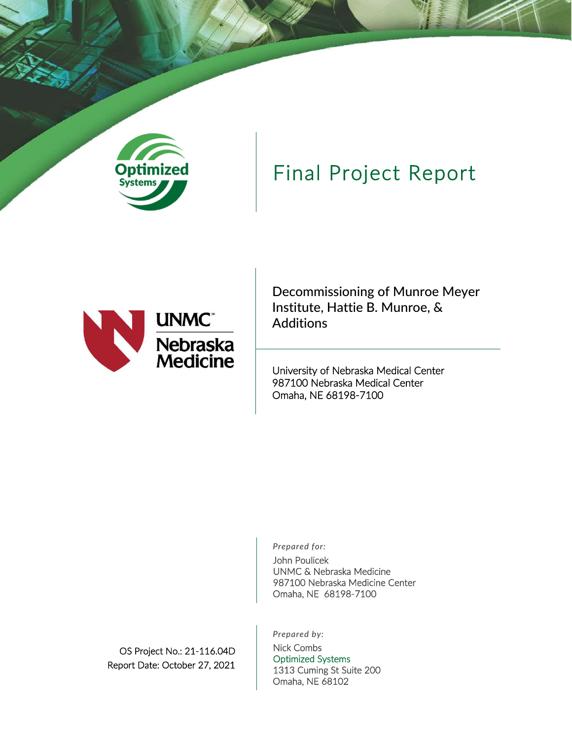

# Final Project Report



Decommissioning of Munroe Meyer Institute, Hattie B. Munroe, & **Additions** 

University of Nebraska Medical Center 987100 Nebraska Medical Center Omaha, NE 68198-7100

*Prepared for:*

John Poulicek UNMC & Nebraska Medicine 987100 Nebraska Medicine Center Omaha, NE 68198-7100

*Prepared by:*

OS Project No.: 21-116.04D Report Date: October 27, 2021

Nick Combs Optimized Systems 1313 Cuming St Suite 200 Omaha, NE 68102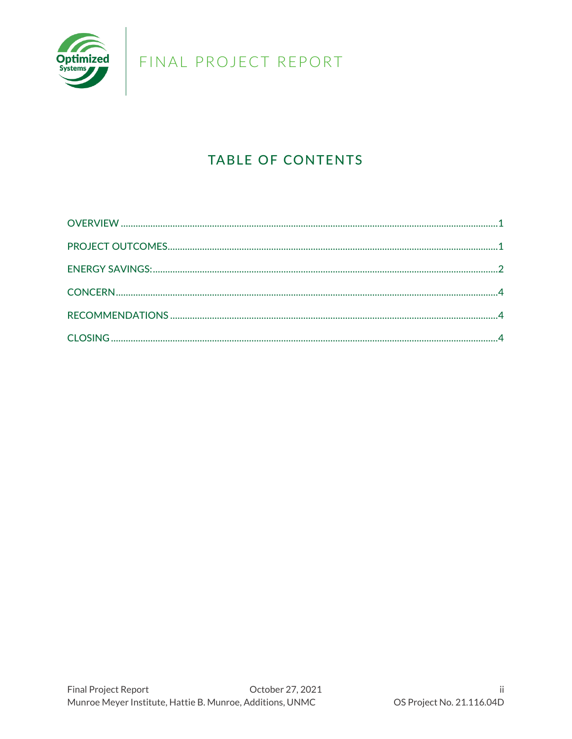

## **TABLE OF CONTENTS**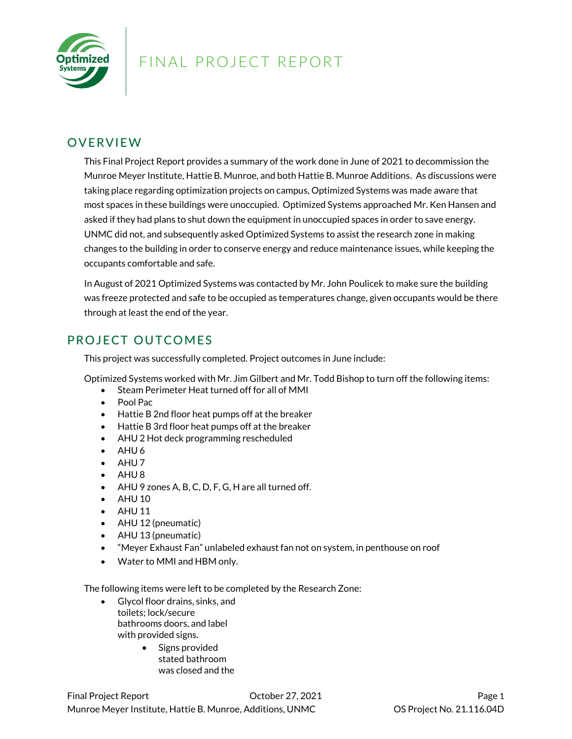

### <span id="page-2-0"></span>**OVERVIEW**

This Final Project Report provides a summary of the work done in June of 2021 to decommission the Munroe Meyer Institute, Hattie B. Munroe, and both Hattie B. Munroe Additions. As discussions were taking place regarding optimization projects on campus, Optimized Systems was made aware that most spaces in these buildings were unoccupied. Optimized Systems approached Mr. Ken Hansen and asked if they had plans to shut down the equipment in unoccupied spaces in order to save energy. UNMC did not, and subsequently asked Optimized Systems to assist the research zone in making changes to the building in order to conserve energy and reduce maintenance issues, while keeping the occupants comfortable and safe.

In August of 2021 Optimized Systems was contacted by Mr. John Poulicek to make sure the building was freeze protected and safe to be occupied as temperatures change, given occupants would be there through at least the end of the year.

### <span id="page-2-1"></span>PROJECT OUTCOMES

This project was successfully completed. Project outcomes in June include:

Optimized Systems worked with Mr. Jim Gilbert and Mr. Todd Bishop to turn off the following items:

- Steam Perimeter Heat turned off for all of MMI
- Pool Pac
- Hattie B 2nd floor heat pumps off at the breaker
- Hattie B 3rd floor heat pumps off at the breaker
- AHU 2 Hot deck programming rescheduled
- AHU 6
- $\bullet$  AHU7
- AHU 8
- AHU 9 zones A, B, C, D, F, G, H are all turned off.
- AHU 10
- AHU 11
- AHU 12 (pneumatic)
- AHU 13 (pneumatic)
- "Meyer Exhaust Fan" unlabeled exhaust fan not on system, in penthouse on roof
- Water to MMI and HBM only.

The following items were left to be completed by the Research Zone:

- Glycol floor drains, sinks, and toilets; lock/secure bathrooms doors, and label with provided signs.
	- Signs provided stated bathroom was closed and the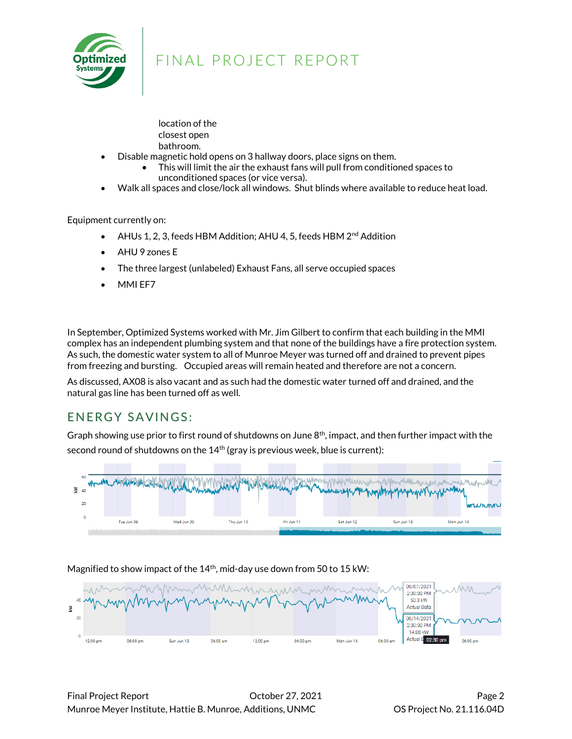

- location of the closest open bathroom.
- Disable magnetic hold opens on 3 hallway doors, place signs on them.
	- This will limit the air the exhaust fans will pull from conditioned spaces to unconditioned spaces (or vice versa).
- Walk all spaces and close/lock all windows. Shut blinds where available to reduce heat load.

Equipment currently on:

- AHUs 1, 2, 3, feeds HBM Addition; AHU 4, 5, feeds HBM  $2<sup>nd</sup>$  Addition
- AHU 9 zones E
- The three largest (unlabeled) Exhaust Fans, all serve occupied spaces
- MMI EF7

In September, Optimized Systems worked with Mr. Jim Gilbert to confirm that each building in the MMI complex has an independent plumbing system and that none of the buildings have a fire protection system. As such, the domestic water system to all of Munroe Meyer was turned off and drained to prevent pipes from freezing and bursting. Occupied areas will remain heated and therefore are not a concern.

As discussed, AX08 is also vacant and as such had the domestic water turned off and drained, and the natural gas line has been turned off as well.

### <span id="page-3-0"></span>ENERGY SAVINGS:

Graph showing use prior to first round of shutdowns on June 8<sup>th</sup>, impact, and then further impact with the second round of shutdowns on the  $14<sup>th</sup>$  (gray is previous week, blue is current):



#### Magnified to show impact of the 14<sup>th</sup>, mid-day use down from 50 to 15 kW:

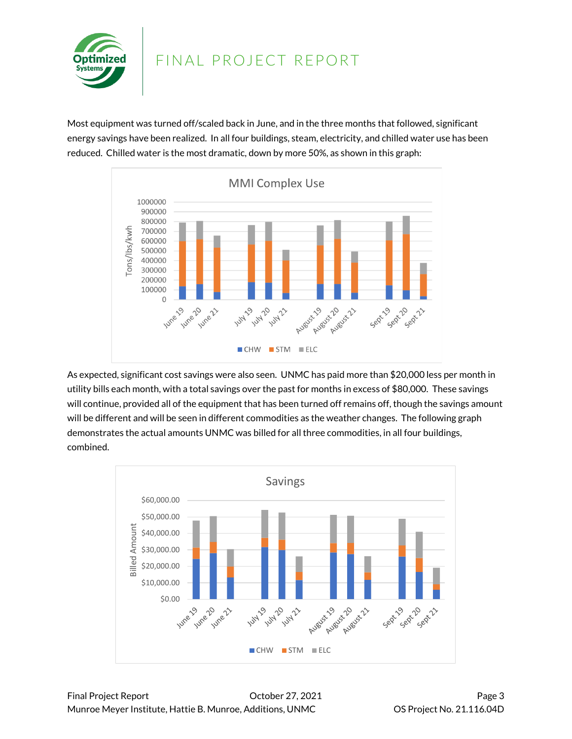

Most equipment was turned off/scaled back in June, and in the three months that followed, significant energy savings have been realized. In all four buildings, steam, electricity, and chilled water use has been reduced. Chilled water is the most dramatic, down by more 50%, as shown in this graph:



As expected, significant cost savings were also seen. UNMC has paid more than \$20,000 less per month in utility bills each month, with a total savings over the past for months in excess of \$80,000. These savings will continue, provided all of the equipment that has been turned off remains off, though the savings amount will be different and will be seen in different commodities as the weather changes. The following graph demonstrates the actual amounts UNMC was billed for all three commodities, in all four buildings, combined.